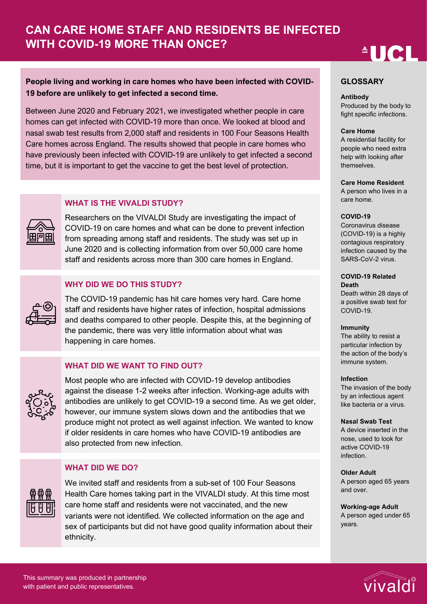# **AUCL**

## **People living and working in care homes who have been infected with COVID-19 before are unlikely to get infected a second time.**

Between June 2020 and February 2021, we investigated whether people in care homes can get infected with COVID-19 more than once. We looked at blood and nasal swab test results from 2,000 staff and residents in 100 Four Seasons Health Care homes across England. The results showed that people in care homes who have previously been infected with COVID-19 are unlikely to get infected a second time, but it is important to get the vaccine to get the best level of protection.

## **WHAT IS THE VIVALDI STUDY?**

Researchers on the VIVALDI Study are investigating the impact of COVID-19 on care homes and what can be done to prevent infection from spreading among staff and residents. The study was set up in June 2020 and is collecting information from over 50,000 care home staff and residents across more than 300 care homes in England.

## **WHY DID WE DO THIS STUDY?**

The COVID-19 pandemic has hit care homes very hard. Care home staff and residents have higher rates of infection, hospital admissions and deaths compared to other people. Despite this, at the beginning of the pandemic, there was very little information about what was happening in care homes.

## **WHAT DID WE WANT TO FIND OUT?**



Most people who are infected with COVID-19 develop antibodies against the disease 1-2 weeks after infection. Working-age adults with antibodies are unlikely to get COVID-19 a second time. As we get older, however, our immune system slows down and the antibodies that we produce might not protect as well against infection. We wanted to know if older residents in care homes who have COVID-19 antibodies are also protected from new infection.

## **WHAT DID WE DO?**



We invited staff and residents from a sub-set of 100 Four Seasons Health Care homes taking part in the VIVALDI study. At this time most care home staff and residents were not vaccinated, and the new variants were not identified. We collected information on the age and sex of participants but did not have good quality information about their ethnicity.

#### **GLOSSARY**

#### **Antibody**

Produced by the body to fight specific infections.

#### **Care Home**

A residential facility for people who need extra help with looking after themselves.

#### **Care Home Resident**

A person who lives in a care home.

#### **COVID-19**

Coronavirus disease (COVID-19) is a highly contagious respiratory infection caused by the SARS-CoV-2 virus.

**COVID-19 Related Death**

Death within 28 days of a positive swab test for COVID-19.

#### **Immunity**

The ability to resist a particular infection by the action of the body's immune system.

#### **Infection**

The invasion of the body by an infectious agent like bacteria or a virus.

#### **Nasal Swab Test**

A device inserted in the nose, used to look for active COVID-19 infection.

#### **Older Adult**

A person aged 65 years and over.

**Working-age Adult** A person aged under 65 years.

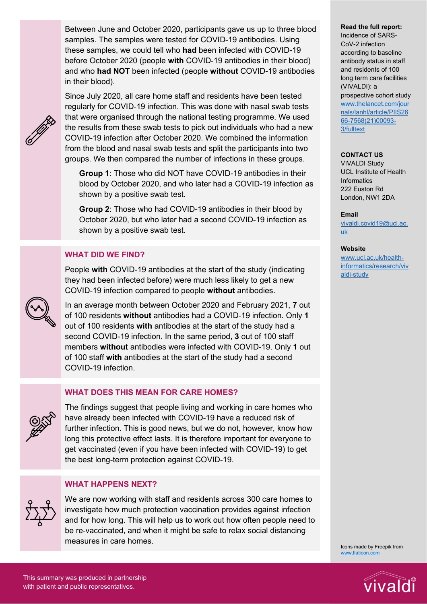Between June and October 2020, participants gave us up to three blood samples. The samples were tested for COVID-19 antibodies. Using these samples, we could tell who **had** been infected with COVID-19 before October 2020 (people **with** COVID-19 antibodies in their blood) and who **had NOT** been infected (people **without** COVID-19 antibodies in their blood).

Since July 2020, all care home staff and residents have been tested regularly for COVID-19 infection. This was done with nasal swab tests that were organised through the national testing programme. We used the results from these swab tests to pick out individuals who had a new COVID-19 infection after October 2020. We combined the information from the blood and nasal swab tests and split the participants into two groups. We then compared the number of infections in these groups.

**Group 1**: Those who did NOT have COVID-19 antibodies in their blood by October 2020, and who later had a COVID-19 infection as shown by a positive swab test.

**Group 2**: Those who had COVID-19 antibodies in their blood by October 2020, but who later had a second COVID-19 infection as shown by a positive swab test.

## **WHAT DID WE FIND?**

People **with** COVID-19 antibodies at the start of the study (indicating they had been infected before) were much less likely to get a new COVID-19 infection compared to people **without** antibodies.

In an average month between October 2020 and February 2021, **7** out of 100 residents **without** antibodies had a COVID-19 infection. Only **1** out of 100 residents **with** antibodies at the start of the study had a second COVID-19 infection. In the same period, **3** out of 100 staff members **without** antibodies were infected with COVID-19. Only **1** out of 100 staff **with** antibodies at the start of the study had a second COVID-19 infection.

## **WHAT DOES THIS MEAN FOR CARE HOMES?**



The findings suggest that people living and working in care homes who have already been infected with COVID-19 have a reduced risk of further infection. This is good news, but we do not, however, know how long this protective effect lasts. It is therefore important for everyone to get vaccinated (even if you have been infected with COVID-19) to get the best long-term protection against COVID-19.

## **WHAT HAPPENS NEXT?**

We are now working with staff and residents across 300 care homes to investigate how much protection vaccination provides against infection and for how long. This will help us to work out how often people need to be re-vaccinated, and when it might be safe to relax social distancing measures in care homes.

#### **Read the full report:**

Incidence of SARS-CoV-2 infection according to baseline antibody status in staff and residents of 100 long term care facilities (VIVALDI): a prospective cohort study [www.thelancet.com/jour](http://www.thelancet.com/journals/lanhl/article/PIIS2666-7568(21)00093-3/fulltext) [nals/lanhl/article/PIIS26](http://www.thelancet.com/journals/lanhl/article/PIIS2666-7568(21)00093-3/fulltext) [66-7568\(21\)00093-](http://www.thelancet.com/journals/lanhl/article/PIIS2666-7568(21)00093-3/fulltext) [3/fulltext](http://www.thelancet.com/journals/lanhl/article/PIIS2666-7568(21)00093-3/fulltext)

#### **CONTACT US**

VIVALDI Study UCL Institute of Health **Informatics** 222 Euston Rd London, NW1 2DA

#### **Email**

[vivaldi.covid19@ucl.ac.](mailto:vivaldi.covid19@ucl.ac.uk) [uk](mailto:vivaldi.covid19@ucl.ac.uk)

#### **Website**

[www.ucl.ac.uk/health](http://www.ucl.ac.uk/health-informatics/research/vivaldi-study)[informatics/research/viv](http://www.ucl.ac.uk/health-informatics/research/vivaldi-study) [aldi-study](http://www.ucl.ac.uk/health-informatics/research/vivaldi-study)